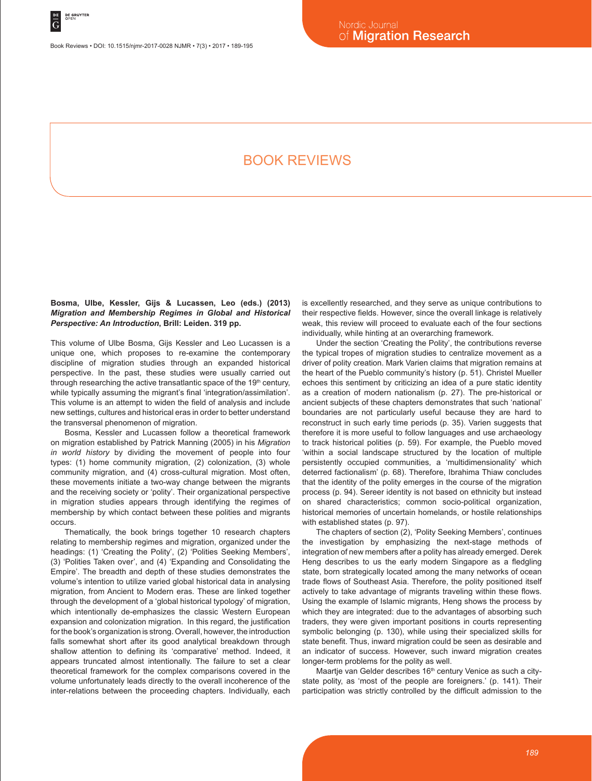Book Reviews • DOI: 10.1515/njmr-2017-0028 NJMR • 7(3) • 2017 • 189-195

# Book reviews

# **Bosma, Ulbe, Kessler, Gijs & Lucassen, Leo (eds.) (2013)**  *Migration and Membership Regimes in Global and Historical Perspective: An Introduction***, Brill: Leiden. 319 pp.**

This volume of Ulbe Bosma, Gijs Kessler and Leo Lucassen is a unique one, which proposes to re-examine the contemporary discipline of migration studies through an expanded historical perspective. In the past, these studies were usually carried out through researching the active transatlantic space of the 19<sup>th</sup> century, while typically assuming the migrant's final 'integration/assimilation'. This volume is an attempt to widen the field of analysis and include new settings, cultures and historical eras in order to better understand the transversal phenomenon of migration.

Bosma, Kessler and Lucassen follow a theoretical framework on migration established by Patrick Manning (2005) in his *Migration in world history* by dividing the movement of people into four types: (1) home community migration, (2) colonization, (3) whole community migration, and (4) cross-cultural migration. Most often, these movements initiate a two-way change between the migrants and the receiving society or 'polity'. Their organizational perspective in migration studies appears through identifying the regimes of membership by which contact between these polities and migrants occurs.

Thematically, the book brings together 10 research chapters relating to membership regimes and migration, organized under the headings: (1) 'Creating the Polity', (2) 'Polities Seeking Members', (3) 'Polities Taken over', and (4) 'Expanding and Consolidating the Empire'. The breadth and depth of these studies demonstrates the volume's intention to utilize varied global historical data in analysing migration, from Ancient to Modern eras. These are linked together through the development of a 'global historical typology' of migration, which intentionally de-emphasizes the classic Western European expansion and colonization migration. In this regard, the justification for the book's organization is strong. Overall, however, the introduction falls somewhat short after its good analytical breakdown through shallow attention to defining its 'comparative' method. Indeed, it appears truncated almost intentionally. The failure to set a clear theoretical framework for the complex comparisons covered in the volume unfortunately leads directly to the overall incoherence of the inter-relations between the proceeding chapters. Individually, each is excellently researched, and they serve as unique contributions to their respective fields. However, since the overall linkage is relatively weak, this review will proceed to evaluate each of the four sections individually, while hinting at an overarching framework.

Under the section 'Creating the Polity', the contributions reverse the typical tropes of migration studies to centralize movement as a driver of polity creation. Mark Varien claims that migration remains at the heart of the Pueblo community's history (p. 51). Christel Mueller echoes this sentiment by criticizing an idea of a pure static identity as a creation of modern nationalism (p. 27). The pre-historical or ancient subjects of these chapters demonstrates that such 'national' boundaries are not particularly useful because they are hard to reconstruct in such early time periods (p. 35). Varien suggests that therefore it is more useful to follow languages and use archaeology to track historical polities (p. 59). For example, the Pueblo moved 'within a social landscape structured by the location of multiple persistently occupied communities, a 'multidimensionality' which deterred factionalism' (p. 68). Therefore, Ibrahima Thiaw concludes that the identity of the polity emerges in the course of the migration process (p. 94). Sereer identity is not based on ethnicity but instead on shared characteristics; common socio-political organization, historical memories of uncertain homelands, or hostile relationships with established states (p. 97).

The chapters of section (2), 'Polity Seeking Members', continues the investigation by emphasizing the next-stage methods of integration of new members after a polity has already emerged. Derek Heng describes to us the early modern Singapore as a fledgling state, born strategically located among the many networks of ocean trade flows of Southeast Asia. Therefore, the polity positioned itself actively to take advantage of migrants traveling within these flows. Using the example of Islamic migrants, Heng shows the process by which they are integrated: due to the advantages of absorbing such traders, they were given important positions in courts representing symbolic belonging (p. 130), while using their specialized skills for state benefit. Thus, inward migration could be seen as desirable and an indicator of success. However, such inward migration creates longer-term problems for the polity as well.

Maartje van Gelder describes 16<sup>th</sup> century Venice as such a citystate polity, as 'most of the people are foreigners.' (p. 141). Their participation was strictly controlled by the difficult admission to the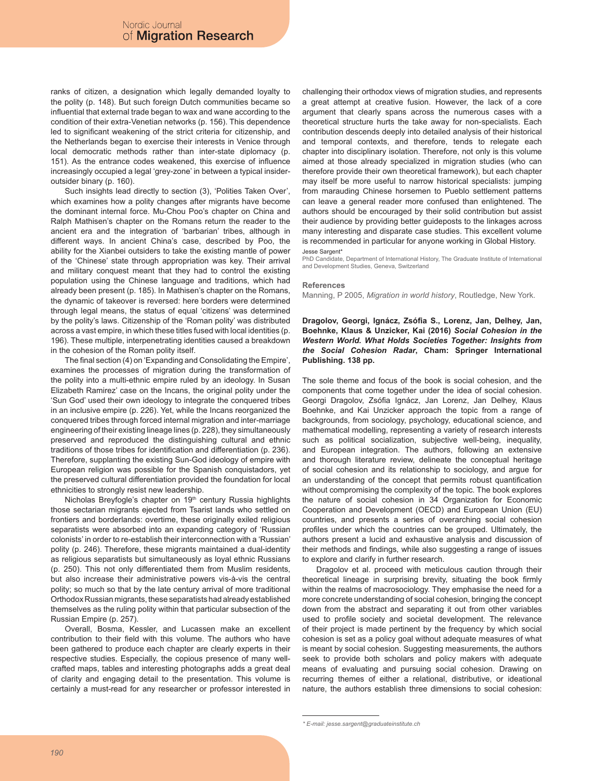ranks of citizen, a designation which legally demanded loyalty to the polity (p. 148). But such foreign Dutch communities became so influential that external trade began to wax and wane according to the condition of their extra-Venetian networks (p. 156). This dependence led to significant weakening of the strict criteria for citizenship, and the Netherlands began to exercise their interests in Venice through local democratic methods rather than inter-state diplomacy (p. 151). As the entrance codes weakened, this exercise of influence increasingly occupied a legal 'grey-zone' in between a typical insideroutsider binary (p. 160).

Such insights lead directly to section (3), 'Polities Taken Over', which examines how a polity changes after migrants have become the dominant internal force. Mu-Chou Poo's chapter on China and Ralph Mathisen's chapter on the Romans return the reader to the ancient era and the integration of 'barbarian' tribes, although in different ways. In ancient China's case, described by Poo, the ability for the Xianbei outsiders to take the existing mantle of power of the 'Chinese' state through appropriation was key. Their arrival and military conquest meant that they had to control the existing population using the Chinese language and traditions, which had already been present (p. 185). In Mathisen's chapter on the Romans, the dynamic of takeover is reversed: here borders were determined through legal means, the status of equal 'citizens' was determined by the polity's laws. Citizenship of the 'Roman polity' was distributed across a vast empire, in which these titles fused with local identities (p. 196). These multiple, interpenetrating identities caused a breakdown in the cohesion of the Roman polity itself.

The final section (4) on 'Expanding and Consolidating the Empire', examines the processes of migration during the transformation of the polity into a multi-ethnic empire ruled by an ideology. In Susan Elizabeth Ramirez' case on the Incans, the original polity under the 'Sun God' used their own ideology to integrate the conquered tribes in an inclusive empire (p. 226). Yet, while the Incans reorganized the conquered tribes through forced internal migration and inter-marriage engineering of their existing lineage lines (p. 228), they simultaneously preserved and reproduced the distinguishing cultural and ethnic traditions of those tribes for identification and differentiation (p. 236). Therefore, supplanting the existing Sun-God ideology of empire with European religion was possible for the Spanish conquistadors, yet the preserved cultural differentiation provided the foundation for local ethnicities to strongly resist new leadership.

Nicholas Breyfogle's chapter on 19<sup>th</sup> century Russia highlights those sectarian migrants ejected from Tsarist lands who settled on frontiers and borderlands: overtime, these originally exiled religious separatists were absorbed into an expanding category of 'Russian colonists' in order to re-establish their interconnection with a 'Russian' polity (p. 246). Therefore, these migrants maintained a dual-identity as religious separatists but simultaneously as loyal ethnic Russians (p. 250). This not only differentiated them from Muslim residents, but also increase their administrative powers vis-à-vis the central polity; so much so that by the late century arrival of more traditional Orthodox Russian migrants, these separatists had already established themselves as the ruling polity within that particular subsection of the Russian Empire (p. 257).

Overall, Bosma, Kessler, and Lucassen make an excellent contribution to their field with this volume. The authors who have been gathered to produce each chapter are clearly experts in their respective studies. Especially, the copious presence of many wellcrafted maps, tables and interesting photographs adds a great deal of clarity and engaging detail to the presentation. This volume is certainly a must-read for any researcher or professor interested in

challenging their orthodox views of migration studies, and represents a great attempt at creative fusion. However, the lack of a core argument that clearly spans across the numerous cases with a theoretical structure hurts the take away for non-specialists. Each contribution descends deeply into detailed analysis of their historical and temporal contexts, and therefore, tends to relegate each chapter into disciplinary isolation. Therefore, not only is this volume aimed at those already specialized in migration studies (who can therefore provide their own theoretical framework), but each chapter may itself be more useful to narrow historical specialists: jumping from marauding Chinese horsemen to Pueblo settlement patterns can leave a general reader more confused than enlightened. The authors should be encouraged by their solid contribution but assist their audience by providing better guideposts to the linkages across many interesting and disparate case studies. This excellent volume is recommended in particular for anyone working in Global History.

#### Jesse Sargent\*

PhD Candidate, Department of International History, The Graduate Institute of International and Development Studies, Geneva, Switzerland

#### **References**

Manning, P 2005, *Migration in world history*, Routledge, New York.

**Dragolov, Georgi, Ignácz, Zsófia S., Lorenz, Jan, Delhey, Jan, Boehnke, Klaus & Unzicker, Kai (2016)** *Social Cohesion in the Western World. What Holds Societies Together: Insights from the Social Cohesion Radar***, Cham: Springer International Publishing. 138 pp.**

The sole theme and focus of the book is social cohesion, and the components that come together under the idea of social cohesion. Georgi Dragolov, Zsófia Ignácz, Jan Lorenz, Jan Delhey, Klaus Boehnke, and Kai Unzicker approach the topic from a range of backgrounds, from sociology, psychology, educational science, and mathematical modelling, representing a variety of research interests such as political socialization, subjective well-being, inequality, and European integration. The authors, following an extensive and thorough literature review, delineate the conceptual heritage of social cohesion and its relationship to sociology, and argue for an understanding of the concept that permits robust quantification without compromising the complexity of the topic. The book explores the nature of social cohesion in 34 Organization for Economic Cooperation and Development (OECD) and European Union (EU) countries, and presents a series of overarching social cohesion profiles under which the countries can be grouped. Ultimately, the authors present a lucid and exhaustive analysis and discussion of their methods and findings, while also suggesting a range of issues to explore and clarify in further research.

Dragolov et al. proceed with meticulous caution through their theoretical lineage in surprising brevity, situating the book firmly within the realms of macrosociology. They emphasise the need for a more concrete understanding of social cohesion, bringing the concept down from the abstract and separating it out from other variables used to profile society and societal development. The relevance of their project is made pertinent by the frequency by which social cohesion is set as a policy goal without adequate measures of what is meant by social cohesion. Suggesting measurements, the authors seek to provide both scholars and policy makers with adequate means of evaluating and pursuing social cohesion. Drawing on recurring themes of either a relational, distributive, or ideational nature, the authors establish three dimensions to social cohesion:

*<sup>\*</sup> E-mail: jesse.sargent@graduateinstitute.ch*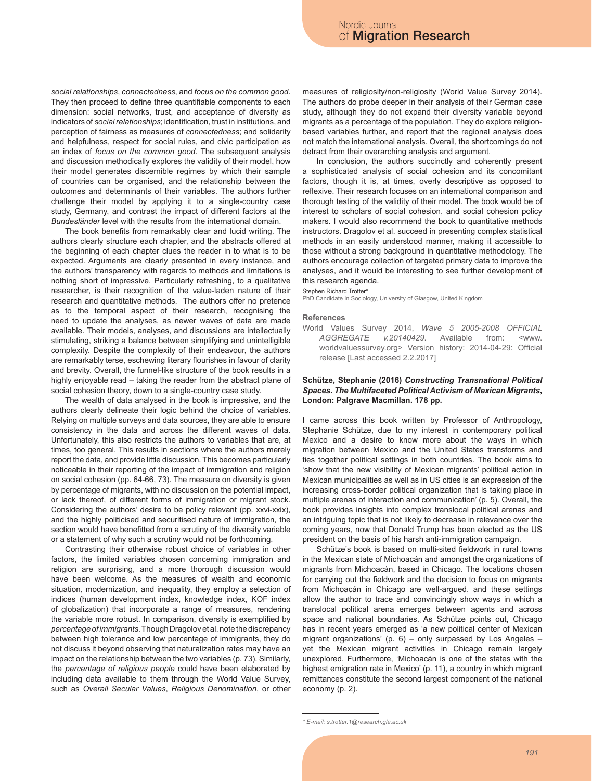*social relationships*, *connectedness*, and *focus on the common good*. They then proceed to define three quantifiable components to each dimension: social networks, trust, and acceptance of diversity as indicators of *social relationships*; identification, trust in institutions, and perception of fairness as measures of *connectedness*; and solidarity and helpfulness, respect for social rules, and civic participation as an index of *focus on the common good*. The subsequent analysis and discussion methodically explores the validity of their model, how their model generates discernible regimes by which their sample of countries can be organised, and the relationship between the outcomes and determinants of their variables. The authors further challenge their model by applying it to a single-country case study, Germany, and contrast the impact of different factors at the *Bundesländer* level with the results from the international domain.

The book benefits from remarkably clear and lucid writing. The authors clearly structure each chapter, and the abstracts offered at the beginning of each chapter clues the reader in to what is to be expected. Arguments are clearly presented in every instance, and the authors' transparency with regards to methods and limitations is nothing short of impressive. Particularly refreshing, to a qualitative researcher, is their recognition of the value-laden nature of their research and quantitative methods. The authors offer no pretence as to the temporal aspect of their research, recognising the need to update the analyses, as newer waves of data are made available. Their models, analyses, and discussions are intellectually stimulating, striking a balance between simplifying and unintelligible complexity. Despite the complexity of their endeavour, the authors are remarkably terse, eschewing literary flourishes in favour of clarity and brevity. Overall, the funnel-like structure of the book results in a highly enjoyable read – taking the reader from the abstract plane of social cohesion theory, down to a single-country case study.

The wealth of data analysed in the book is impressive, and the authors clearly delineate their logic behind the choice of variables. Relying on multiple surveys and data sources, they are able to ensure consistency in the data and across the different waves of data. Unfortunately, this also restricts the authors to variables that are, at times, too general. This results in sections where the authors merely report the data, and provide little discussion. This becomes particularly noticeable in their reporting of the impact of immigration and religion on social cohesion (pp. 64-66, 73). The measure on diversity is given by percentage of migrants, with no discussion on the potential impact, or lack thereof, of different forms of immigration or migrant stock. Considering the authors' desire to be policy relevant (pp. xxvi-xxix), and the highly politicised and securitised nature of immigration, the section would have benefitted from a scrutiny of the diversity variable or a statement of why such a scrutiny would not be forthcoming.

Contrasting their otherwise robust choice of variables in other factors, the limited variables chosen concerning immigration and religion are surprising, and a more thorough discussion would have been welcome. As the measures of wealth and economic situation, modernization, and inequality, they employ a selection of indices (human development index, knowledge index, KOF index of globalization) that incorporate a range of measures, rendering the variable more robust. In comparison, diversity is exemplified by *percentage of immigrants*. Though Dragolov et al. note the discrepancy between high tolerance and low percentage of immigrants, they do not discuss it beyond observing that naturalization rates may have an impact on the relationship between the two variables (p. 73). Similarly, the *percentage of religious people* could have been elaborated by including data available to them through the World Value Survey, such as *Overall Secular Values*, *Religious Denomination*, or other measures of religiosity/non-religiosity (World Value Survey 2014). The authors do probe deeper in their analysis of their German case study, although they do not expand their diversity variable beyond migrants as a percentage of the population. They do explore religionbased variables further, and report that the regional analysis does not match the international analysis. Overall, the shortcomings do not detract from their overarching analysis and argument.

In conclusion, the authors succinctly and coherently present a sophisticated analysis of social cohesion and its concomitant factors, though it is, at times, overly descriptive as opposed to reflexive. Their research focuses on an international comparison and thorough testing of the validity of their model. The book would be of interest to scholars of social cohesion, and social cohesion policy makers. I would also recommend the book to quantitative methods instructors. Dragolov et al. succeed in presenting complex statistical methods in an easily understood manner, making it accessible to those without a strong background in quantitative methodology. The authors encourage collection of targeted primary data to improve the analyses, and it would be interesting to see further development of this research agenda.

Stephen Richard Trotter\*

PhD Candidate in Sociology, University of Glasgow, United Kingdom

#### **References**

World Values Survey 2014, *Wave 5 2005-2008 OFFICIAL AGGREGATE v.20140429*. Available from: <www. worldvaluessurvey.org> Version history: 2014-04-29: Official release [Last accessed 2.2.2017]

# **Schütze, Stephanie (2016)** *Constructing Transnational Political Spaces. The Multifaceted Political Activism of Mexican Migrants***, London: Palgrave Macmillan. 178 pp.**

I came across this book written by Professor of Anthropology, Stephanie Schütze, due to my interest in contemporary political Mexico and a desire to know more about the ways in which migration between Mexico and the United States transforms and ties together political settings in both countries. The book aims to 'show that the new visibility of Mexican migrants' political action in Mexican municipalities as well as in US cities is an expression of the increasing cross-border political organization that is taking place in multiple arenas of interaction and communication' (p. 5). Overall, the book provides insights into complex translocal political arenas and an intriguing topic that is not likely to decrease in relevance over the coming years, now that Donald Trump has been elected as the US president on the basis of his harsh anti-immigration campaign.

Schütze's book is based on multi-sited fieldwork in rural towns in the Mexican state of Michoacán and amongst the organizations of migrants from Michoacán, based in Chicago. The locations chosen for carrying out the fieldwork and the decision to focus on migrants from Michoacán in Chicago are well-argued, and these settings allow the author to trace and convincingly show ways in which a translocal political arena emerges between agents and across space and national boundaries. As Schütze points out, Chicago has in recent years emerged as 'a new political center of Mexican migrant organizations' (p. 6) – only surpassed by Los Angeles – yet the Mexican migrant activities in Chicago remain largely unexplored. Furthermore, 'Michoacán is one of the states with the highest emigration rate in Mexico' (p. 11), a country in which migrant remittances constitute the second largest component of the national economy (p. 2).

*<sup>\*</sup> E-mail: s.trotter.1@research.gla.ac.uk*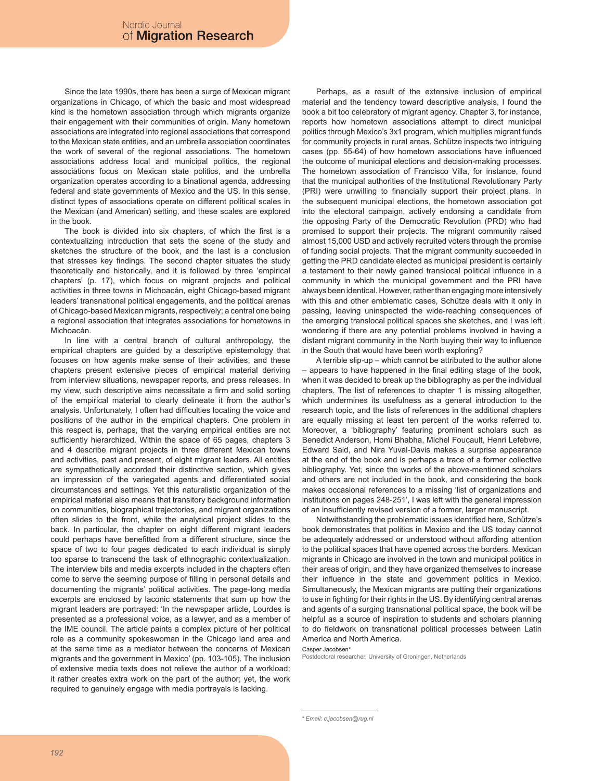Since the late 1990s, there has been a surge of Mexican migrant organizations in Chicago, of which the basic and most widespread kind is the hometown association through which migrants organize their engagement with their communities of origin. Many hometown associations are integrated into regional associations that correspond to the Mexican state entities, and an umbrella association coordinates the work of several of the regional associations. The hometown associations address local and municipal politics, the regional associations focus on Mexican state politics, and the umbrella organization operates according to a binational agenda, addressing federal and state governments of Mexico and the US. In this sense, distinct types of associations operate on different political scales in the Mexican (and American) setting, and these scales are explored in the book.

The book is divided into six chapters, of which the first is a contextualizing introduction that sets the scene of the study and sketches the structure of the book, and the last is a conclusion that stresses key findings. The second chapter situates the study theoretically and historically, and it is followed by three 'empirical chapters' (p. 17), which focus on migrant projects and political activities in three towns in Michoacán, eight Chicago-based migrant leaders' transnational political engagements, and the political arenas of Chicago-based Mexican migrants, respectively; a central one being a regional association that integrates associations for hometowns in Michoacán.

In line with a central branch of cultural anthropology, the empirical chapters are guided by a descriptive epistemology that focuses on how agents make sense of their activities, and these chapters present extensive pieces of empirical material deriving from interview situations, newspaper reports, and press releases. In my view, such descriptive aims necessitate a firm and solid sorting of the empirical material to clearly delineate it from the author's analysis. Unfortunately, I often had difficulties locating the voice and positions of the author in the empirical chapters. One problem in this respect is, perhaps, that the varying empirical entities are not sufficiently hierarchized. Within the space of 65 pages, chapters 3 and 4 describe migrant projects in three different Mexican towns and activities, past and present, of eight migrant leaders. All entities are sympathetically accorded their distinctive section, which gives an impression of the variegated agents and differentiated social circumstances and settings. Yet this naturalistic organization of the empirical material also means that transitory background information on communities, biographical trajectories, and migrant organizations often slides to the front, while the analytical project slides to the back. In particular, the chapter on eight different migrant leaders could perhaps have benefitted from a different structure, since the space of two to four pages dedicated to each individual is simply too sparse to transcend the task of ethnographic contextualization. The interview bits and media excerpts included in the chapters often come to serve the seeming purpose of filling in personal details and documenting the migrants' political activities. The page-long media excerpts are enclosed by laconic statements that sum up how the migrant leaders are portrayed: 'In the newspaper article, Lourdes is presented as a professional voice, as a lawyer, and as a member of the IME council. The article paints a complex picture of her political role as a community spokeswoman in the Chicago land area and at the same time as a mediator between the concerns of Mexican migrants and the government in Mexico' (pp. 103-105). The inclusion of extensive media texts does not relieve the author of a workload; it rather creates extra work on the part of the author; yet, the work required to genuinely engage with media portrayals is lacking.

Perhaps, as a result of the extensive inclusion of empirical material and the tendency toward descriptive analysis, I found the book a bit too celebratory of migrant agency. Chapter 3, for instance, reports how hometown associations attempt to direct municipal politics through Mexico's 3x1 program, which multiplies migrant funds for community projects in rural areas. Schütze inspects two intriguing cases (pp. 55-64) of how hometown associations have influenced the outcome of municipal elections and decision-making processes. The hometown association of Francisco Villa, for instance, found that the municipal authorities of the Institutional Revolutionary Party (PRI) were unwilling to financially support their project plans. In the subsequent municipal elections, the hometown association got into the electoral campaign, actively endorsing a candidate from the opposing Party of the Democratic Revolution (PRD) who had promised to support their projects. The migrant community raised almost 15,000 USD and actively recruited voters through the promise of funding social projects. That the migrant community succeeded in getting the PRD candidate elected as municipal president is certainly a testament to their newly gained translocal political influence in a community in which the municipal government and the PRI have always been identical. However, rather than engaging more intensively with this and other emblematic cases, Schütze deals with it only in passing, leaving uninspected the wide-reaching consequences of the emerging translocal political spaces she sketches, and I was left wondering if there are any potential problems involved in having a distant migrant community in the North buying their way to influence in the South that would have been worth exploring?

A terrible slip-up – which cannot be attributed to the author alone – appears to have happened in the final editing stage of the book, when it was decided to break up the bibliography as per the individual chapters. The list of references to chapter 1 is missing altogether, which undermines its usefulness as a general introduction to the research topic, and the lists of references in the additional chapters are equally missing at least ten percent of the works referred to. Moreover, a 'bibliography' featuring prominent scholars such as Benedict Anderson, Homi Bhabha, Michel Foucault, Henri Lefebvre, Edward Said, and Nira Yuval-Davis makes a surprise appearance at the end of the book and is perhaps a trace of a former collective bibliography. Yet, since the works of the above-mentioned scholars and others are not included in the book, and considering the book makes occasional references to a missing 'list of organizations and institutions on pages 248-251', I was left with the general impression of an insufficiently revised version of a former, larger manuscript.

Notwithstanding the problematic issues identified here, Schütze's book demonstrates that politics in Mexico and the US today cannot be adequately addressed or understood without affording attention to the political spaces that have opened across the borders. Mexican migrants in Chicago are involved in the town and municipal politics in their areas of origin, and they have organized themselves to increase their influence in the state and government politics in Mexico. Simultaneously, the Mexican migrants are putting their organizations to use in fighting for their rights in the US. By identifying central arenas and agents of a surging transnational political space, the book will be helpful as a source of inspiration to students and scholars planning to do fieldwork on transnational political processes between Latin America and North America.

Casper Jacobsen\*

Postdoctoral researcher, University of Groningen, Netherlands

*<sup>\*</sup> Email: c.jacobsen@rug.nl*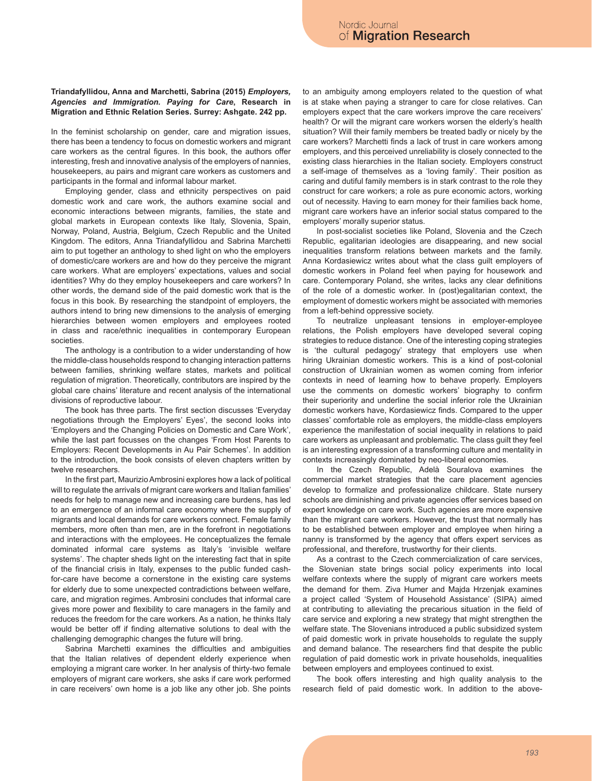# **Triandafyllidou, Anna and Marchetti, Sabrina (2015)** *Employers, Agencies and Immigration. Paying for Care***, Research in Migration and Ethnic Relation Series. Surrey: Ashgate. 242 pp.**

In the feminist scholarship on gender, care and migration issues, there has been a tendency to focus on domestic workers and migrant care workers as the central figures. In this book, the authors offer interesting, fresh and innovative analysis of the employers of nannies, housekeepers, au pairs and migrant care workers as customers and participants in the formal and informal labour market.

Employing gender, class and ethnicity perspectives on paid domestic work and care work, the authors examine social and economic interactions between migrants, families, the state and global markets in European contexts like Italy, Slovenia, Spain, Norway, Poland, Austria, Belgium, Czech Republic and the United Kingdom. The editors, Anna Triandafyllidou and Sabrina Marchetti aim to put together an anthology to shed light on who the employers of domestic/care workers are and how do they perceive the migrant care workers. What are employers' expectations, values and social identities? Why do they employ housekeepers and care workers? In other words, the demand side of the paid domestic work that is the focus in this book. By researching the standpoint of employers, the authors intend to bring new dimensions to the analysis of emerging hierarchies between women employers and employees rooted in class and race/ethnic inequalities in contemporary European societies.

The anthology is a contribution to a wider understanding of how the middle-class households respond to changing interaction patterns between families, shrinking welfare states, markets and political regulation of migration. Theoretically, contributors are inspired by the global care chains' literature and recent analysis of the international divisions of reproductive labour.

The book has three parts. The first section discusses 'Everyday negotiations through the Employers' Eyes', the second looks into 'Employers and the Changing Policies on Domestic and Care Work', while the last part focusses on the changes 'From Host Parents to Employers: Recent Developments in Au Pair Schemes'. In addition to the introduction, the book consists of eleven chapters written by twelve researchers.

In the first part, Maurizio Ambrosini explores how a lack of political will to regulate the arrivals of migrant care workers and Italian families' needs for help to manage new and increasing care burdens, has led to an emergence of an informal care economy where the supply of migrants and local demands for care workers connect. Female family members, more often than men, are in the forefront in negotiations and interactions with the employees. He conceptualizes the female dominated informal care systems as Italy's 'invisible welfare systems'. The chapter sheds light on the interesting fact that in spite of the financial crisis in Italy, expenses to the public funded cashfor-care have become a cornerstone in the existing care systems for elderly due to some unexpected contradictions between welfare, care, and migration regimes. Ambrosini concludes that informal care gives more power and flexibility to care managers in the family and reduces the freedom for the care workers. As a nation, he thinks Italy would be better off if finding alternative solutions to deal with the challenging demographic changes the future will bring.

Sabrina Marchetti examines the difficulties and ambiguities that the Italian relatives of dependent elderly experience when employing a migrant care worker. In her analysis of thirty-two female employers of migrant care workers, she asks if care work performed in care receivers' own home is a job like any other job. She points to an ambiguity among employers related to the question of what is at stake when paying a stranger to care for close relatives. Can employers expect that the care workers improve the care receivers' health? Or will the migrant care workers worsen the elderly's health situation? Will their family members be treated badly or nicely by the care workers? Marchetti finds a lack of trust in care workers among employers, and this perceived unreliability is closely connected to the existing class hierarchies in the Italian society. Employers construct a self-image of themselves as a 'loving family'. Their position as caring and dutiful family members is in stark contrast to the role they construct for care workers; a role as pure economic actors, working out of necessity. Having to earn money for their families back home, migrant care workers have an inferior social status compared to the employers' morally superior status.

In post-socialist societies like Poland, Slovenia and the Czech Republic, egalitarian ideologies are disappearing, and new social inequalities transform relations between markets and the family. Anna Kordasiewicz writes about what the class guilt employers of domestic workers in Poland feel when paying for housework and care. Contemporary Poland, she writes, lacks any clear definitions of the role of a domestic worker. In (post)egalitarian context, the employment of domestic workers might be associated with memories from a left-behind oppressive society.

To neutralize unpleasant tensions in employer-employee relations, the Polish employers have developed several coping strategies to reduce distance. One of the interesting coping strategies is 'the cultural pedagogy' strategy that employers use when hiring Ukrainian domestic workers. This is a kind of post-colonial construction of Ukrainian women as women coming from inferior contexts in need of learning how to behave properly. Employers use the comments on domestic workers' biography to confirm their superiority and underline the social inferior role the Ukrainian domestic workers have, Kordasiewicz finds. Compared to the upper classes' comfortable role as employers, the middle-class employers experience the manifestation of social inequality in relations to paid care workers as unpleasant and problematic. The class guilt they feel is an interesting expression of a transforming culture and mentality in contexts increasingly dominated by neo-liberal economies.

In the Czech Republic, Adelà Souralova examines the commercial market strategies that the care placement agencies develop to formalize and professionalize childcare. State nursery schools are diminishing and private agencies offer services based on expert knowledge on care work. Such agencies are more expensive than the migrant care workers. However, the trust that normally has to be established between employer and employee when hiring a nanny is transformed by the agency that offers expert services as professional, and therefore, trustworthy for their clients.

As a contrast to the Czech commercialization of care services, the Slovenian state brings social policy experiments into local welfare contexts where the supply of migrant care workers meets the demand for them. Ziva Humer and Majda Hrzenjak examines a project called 'System of Household Assistance' (SIPA) aimed at contributing to alleviating the precarious situation in the field of care service and exploring a new strategy that might strengthen the welfare state. The Slovenians introduced a public subsidized system of paid domestic work in private households to regulate the supply and demand balance. The researchers find that despite the public regulation of paid domestic work in private households, inequalities between employers and employees continued to exist.

The book offers interesting and high quality analysis to the research field of paid domestic work. In addition to the above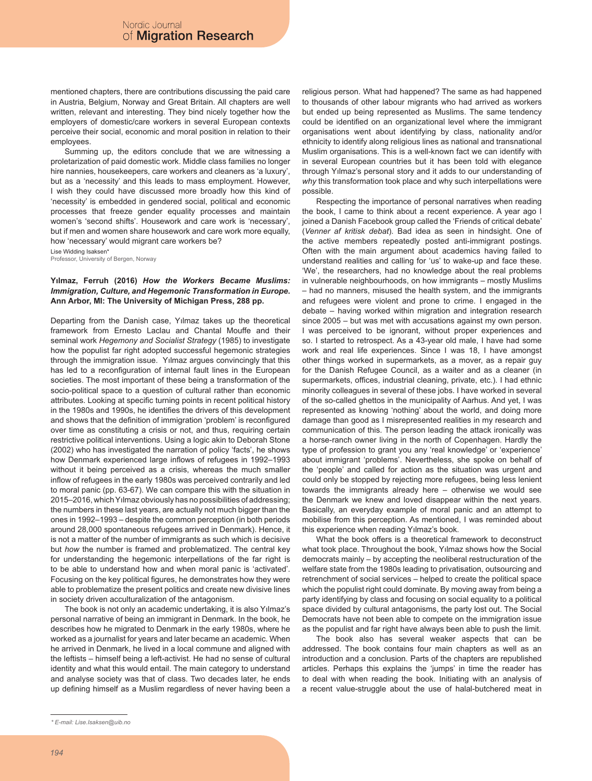mentioned chapters, there are contributions discussing the paid care in Austria, Belgium, Norway and Great Britain. All chapters are well written, relevant and interesting. They bind nicely together how the employers of domestic/care workers in several European contexts perceive their social, economic and moral position in relation to their employees.

Summing up, the editors conclude that we are witnessing a proletarization of paid domestic work. Middle class families no longer hire nannies, housekeepers, care workers and cleaners as 'a luxury', but as a 'necessity' and this leads to mass employment. However, I wish they could have discussed more broadly how this kind of 'necessity' is embedded in gendered social, political and economic processes that freeze gender equality processes and maintain women's 'second shifts'. Housework and care work is 'necessary', but if men and women share housework and care work more equally, how 'necessary' would migrant care workers be?

Lise Widding Isaksen\*

Professor, University of Bergen, Norway

# **Yılmaz, Ferruh (2016)** *How the Workers Became Muslims: Immigration, Culture, and Hegemonic Transformation in Europe***. Ann Arbor, MI: The University of Michigan Press, 288 pp.**

Departing from the Danish case, Yılmaz takes up the theoretical framework from Ernesto Laclau and Chantal Mouffe and their seminal work *Hegemony and Socialist Strategy* (1985) to investigate how the populist far right adopted successful hegemonic strategies through the immigration issue. Yılmaz argues convincingly that this has led to a reconfiguration of internal fault lines in the European societies. The most important of these being a transformation of the socio-political space to a question of cultural rather than economic attributes. Looking at specific turning points in recent political history in the 1980s and 1990s, he identifies the drivers of this development and shows that the definition of immigration 'problem' is reconfigured over time as constituting a crisis or not, and thus, requiring certain restrictive political interventions. Using a logic akin to Deborah Stone (2002) who has investigated the narration of policy 'facts', he shows how Denmark experienced large inflows of refugees in 1992–1993 without it being perceived as a crisis, whereas the much smaller inflow of refugees in the early 1980s was perceived contrarily and led to moral panic (pp. 63-67). We can compare this with the situation in 2015–2016, which Yılmaz obviously has no possibilities of addressing; the numbers in these last years, are actually not much bigger than the ones in 1992–1993 – despite the common perception (in both periods around 28,000 spontaneous refugees arrived in Denmark). Hence, it is not a matter of the number of immigrants as such which is decisive but *how* the number is framed and problematized. The central key for understanding the hegemonic interpellations of the far right is to be able to understand how and when moral panic is 'activated'. Focusing on the key political figures, he demonstrates how they were able to problematize the present politics and create new divisive lines in society driven acculturalization of the antagonism.

The book is not only an academic undertaking, it is also Yılmaz's personal narrative of being an immigrant in Denmark. In the book, he describes how he migrated to Denmark in the early 1980s, where he worked as a journalist for years and later became an academic. When he arrived in Denmark, he lived in a local commune and aligned with the leftists – himself being a left-activist. He had no sense of cultural identity and what this would entail. The main category to understand and analyse society was that of class. Two decades later, he ends up defining himself as a Muslim regardless of never having been a

religious person. What had happened? The same as had happened to thousands of other labour migrants who had arrived as workers but ended up being represented as Muslims. The same tendency could be identified on an organizational level where the immigrant organisations went about identifying by class, nationality and/or ethnicity to identify along religious lines as national and transnational Muslim organisations. This is a well-known fact we can identify with in several European countries but it has been told with elegance through Yılmaz's personal story and it adds to our understanding of *why* this transformation took place and why such interpellations were possible.

Respecting the importance of personal narratives when reading the book, I came to think about a recent experience. A year ago I joined a Danish Facebook group called the 'Friends of critical debate' (*Venner af kritisk debat*). Bad idea as seen in hindsight. One of the active members repeatedly posted anti-immigrant postings. Often with the main argument about academics having failed to understand realities and calling for 'us' to wake-up and face these. 'We', the researchers, had no knowledge about the real problems in vulnerable neighbourhoods, on how immigrants – mostly Muslims – had no manners, misused the health system, and the immigrants and refugees were violent and prone to crime. I engaged in the debate – having worked within migration and integration research since 2005 – but was met with accusations against my own person. I was perceived to be ignorant, without proper experiences and so. I started to retrospect. As a 43-year old male, I have had some work and real life experiences. Since I was 18, I have amongst other things worked in supermarkets, as a mover, as a repair guy for the Danish Refugee Council, as a waiter and as a cleaner (in supermarkets, offices, industrial cleaning, private, etc.). I had ethnic minority colleagues in several of these jobs. I have worked in several of the so-called ghettos in the municipality of Aarhus. And yet, I was represented as knowing 'nothing' about the world, and doing more damage than good as I misrepresented realities in my research and communication of this. The person leading the attack ironically was a horse-ranch owner living in the north of Copenhagen. Hardly the type of profession to grant you any 'real knowledge' or 'experience' about immigrant 'problems'. Nevertheless, she spoke on behalf of the 'people' and called for action as the situation was urgent and could only be stopped by rejecting more refugees, being less lenient towards the immigrants already here – otherwise we would see the Denmark we knew and loved disappear within the next years. Basically, an everyday example of moral panic and an attempt to mobilise from this perception. As mentioned, I was reminded about this experience when reading Yılmaz's book.

What the book offers is a theoretical framework to deconstruct what took place. Throughout the book, Yılmaz shows how the Social democrats mainly – by accepting the neoliberal restructuration of the welfare state from the 1980s leading to privatisation, outsourcing and retrenchment of social services – helped to create the political space which the populist right could dominate. By moving away from being a party identifying by class and focusing on social equality to a political space divided by cultural antagonisms, the party lost out. The Social Democrats have not been able to compete on the immigration issue as the populist and far right have always been able to push the limit.

The book also has several weaker aspects that can be addressed. The book contains four main chapters as well as an introduction and a conclusion. Parts of the chapters are republished articles. Perhaps this explains the 'jumps' in time the reader has to deal with when reading the book. Initiating with an analysis of a recent value-struggle about the use of halal-butchered meat in

*<sup>\*</sup> E-mail: Lise.Isaksen@uib.no*